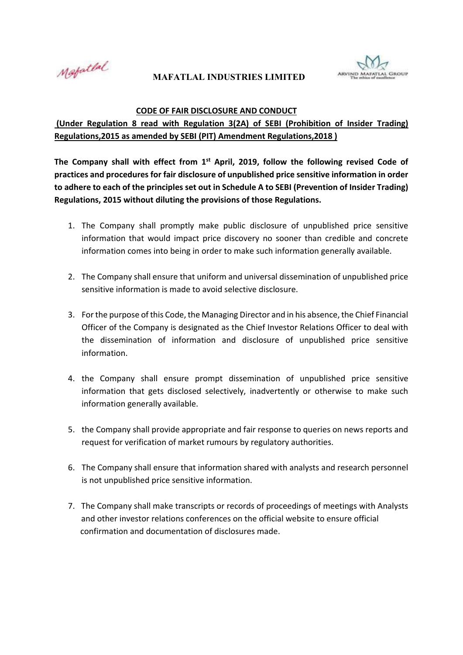Motatlal

## **MAFATLAL INDUSTRIES LIMITED**



## **CODE OF FAIR DISCLOSURE AND CONDUCT**

 **(Under Regulation 8 read with Regulation 3(2A) of SEBI (Prohibition of Insider Trading) Regulations,2015 as amended by SEBI (PIT) Amendment Regulations,2018 )** 

The Company shall with effect from 1<sup>st</sup> April, 2019, follow the following revised Code of **practices and procedures for fair disclosure of unpublished price sensitive information in order to adhere to each of the principles set out in Schedule A to SEBI (Prevention of Insider Trading) Regulations, 2015 without diluting the provisions of those Regulations.** 

- 1. The Company shall promptly make public disclosure of unpublished price sensitive information that would impact price discovery no sooner than credible and concrete information comes into being in order to make such information generally available.
- 2. The Company shall ensure that uniform and universal dissemination of unpublished price sensitive information is made to avoid selective disclosure.
- 3. For the purpose of this Code, the Managing Director and in his absence, the Chief Financial Officer of the Company is designated as the Chief Investor Relations Officer to deal with the dissemination of information and disclosure of unpublished price sensitive information.
- 4. the Company shall ensure prompt dissemination of unpublished price sensitive information that gets disclosed selectively, inadvertently or otherwise to make such information generally available.
- 5. the Company shall provide appropriate and fair response to queries on news reports and request for verification of market rumours by regulatory authorities.
- 6. The Company shall ensure that information shared with analysts and research personnel is not unpublished price sensitive information.
- 7. The Company shall make transcripts or records of proceedings of meetings with Analysts and other investor relations conferences on the official website to ensure official confirmation and documentation of disclosures made.